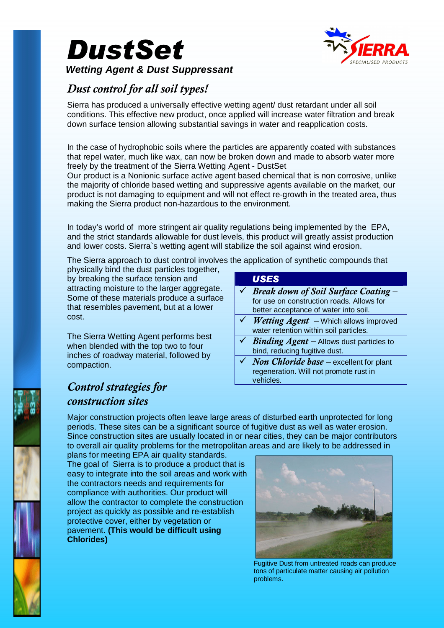



# Dust control for all soil types!

Sierra has produced a universally effective wetting agent/ dust retardant under all soil conditions. This effective new product, once applied will increase water filtration and break down surface tension allowing substantial savings in water and reapplication costs.

In the case of hydrophobic soils where the particles are apparently coated with substances that repel water, much like wax, can now be broken down and made to absorb water more freely by the treatment of the Sierra Wetting Agent - DustSet

Our product is a Nonionic surface active agent based chemical that is non corrosive, unlike the majority of chloride based wetting and suppressive agents available on the market, our product is not damaging to equipment and will not effect re-growth in the treated area, thus making the Sierra product non-hazardous to the environment.

In today's world of more stringent air quality regulations being implemented by the EPA, and the strict standards allowable for dust levels, this product will greatly assist production and lower costs. Sierra`s wetting agent will stabilize the soil against wind erosion.

The Sierra approach to dust control involves the application of synthetic compounds that

physically bind the dust particles together, by breaking the surface tension and attracting moisture to the larger aggregate. Some of these materials produce a surface that resembles pavement, but at a lower cost.

The Sierra Wetting Agent performs best when blended with the top two to four inches of roadway material, followed by compaction.

#### Control strategies for construction sites

#### USES

- Break down of Soil Surface Coating for use on construction roads. Allows for better acceptance of water into soil.
- $\checkmark$  Wetting Agent Which allows improved water retention within soil particles.
- **Binding Agent** Allows dust particles to bind, reducing fugitive dust.
- **Non Chloride base**  $-$  excellent for plant regeneration. Will not promote rust in vehicles.

Major construction projects often leave large areas of disturbed earth unprotected for long periods. These sites can be a significant source of fugitive dust as well as water erosion. Since construction sites are usually located in or near cities, they can be major contributors to overall air quality problems for the metropolitan areas and are likely to be addressed in

plans for meeting EPA air quality standards. The goal of Sierra is to produce a product that is easy to integrate into the soil areas and work with the contractors needs and requirements for compliance with authorities. Our product will allow the contractor to complete the construction project as quickly as possible and re-establish protective cover, either by vegetation or pavement. **(This would be difficult using Chlorides)**



Fugitive Dust from untreated roads can produce tons of particulate matter causing air pollution problems.